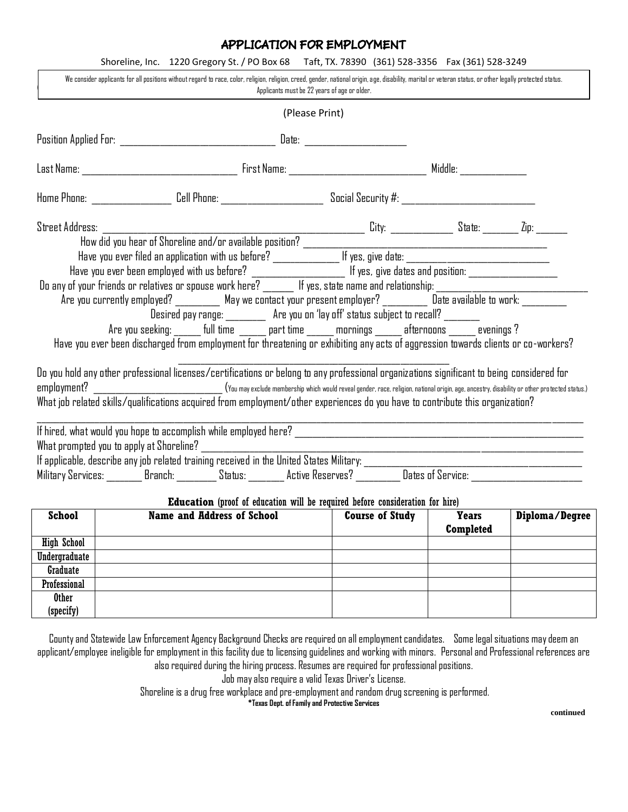## **APPLICATION FOR EMPLOYMENT**

|                                                                                                                                                                                         |  |                                          | Applicants must be 22 years of age or older. | We consider applicants for all positions without regard to race, color, religion, religion, creed, gender, national origin, age, disability, marital or veteran status, or other legally protected status.                                                                                                                                                                                                                                                                                                                                                                                                                                                                                                      |                                                                                           |  |
|-----------------------------------------------------------------------------------------------------------------------------------------------------------------------------------------|--|------------------------------------------|----------------------------------------------|-----------------------------------------------------------------------------------------------------------------------------------------------------------------------------------------------------------------------------------------------------------------------------------------------------------------------------------------------------------------------------------------------------------------------------------------------------------------------------------------------------------------------------------------------------------------------------------------------------------------------------------------------------------------------------------------------------------------|-------------------------------------------------------------------------------------------|--|
|                                                                                                                                                                                         |  |                                          | (Please Print)                               |                                                                                                                                                                                                                                                                                                                                                                                                                                                                                                                                                                                                                                                                                                                 |                                                                                           |  |
|                                                                                                                                                                                         |  |                                          |                                              |                                                                                                                                                                                                                                                                                                                                                                                                                                                                                                                                                                                                                                                                                                                 |                                                                                           |  |
|                                                                                                                                                                                         |  |                                          |                                              |                                                                                                                                                                                                                                                                                                                                                                                                                                                                                                                                                                                                                                                                                                                 |                                                                                           |  |
|                                                                                                                                                                                         |  |                                          |                                              | Home Phone: ___________________ Cell Phone: _______________________ Social Security #: _______________________                                                                                                                                                                                                                                                                                                                                                                                                                                                                                                                                                                                                  |                                                                                           |  |
| Street Address:                                                                                                                                                                         |  |                                          |                                              |                                                                                                                                                                                                                                                                                                                                                                                                                                                                                                                                                                                                                                                                                                                 |                                                                                           |  |
|                                                                                                                                                                                         |  |                                          |                                              | Have you ever filed an application with us before? ________________ If yes, give date: _____________________________<br>Do any of your friends or relatives or spouse work here? ______ If yes, state name and relationship: _______________________<br>Are you currently employed? _________ May we contact your present employer? _________ Date available to work: ________<br>Desired pay range: _________ Are you on 'lay off' status subject to recall? _______<br>Are you seeking: _____ full time _____ part time _____ mornings _____ afternoons _____ evenings ?<br>Have you ever been discharged from employment for threatening or exhibiting any acts of aggression towards clients or co-workers? |                                                                                           |  |
| employment?                                                                                                                                                                             |  |                                          |                                              | Do you hold any other professional licenses/certifications or belong to any professional organizations significant to being considered for<br>What job related skills/qualifications acquired from employment/other experiences do you have to contribute this organization?                                                                                                                                                                                                                                                                                                                                                                                                                                    |                                                                                           |  |
|                                                                                                                                                                                         |  | What prompted you to apply at Shoreline? |                                              | If applicable, describe any job related training received in the United States Military: __________<br>Military Services: _______ Branch: ________ Status: _______ Active Reserves? ________ Dates of Service: ___________________________                                                                                                                                                                                                                                                                                                                                                                                                                                                                      | the control of the control of the control of the control of the control of the control of |  |
| <b>Education</b> (proof of education will be required before consideration for hire)<br>Diploma/Degree<br><b>School</b><br><b>Years</b><br>Name and Address of School   Course of Study |  |                                          |                                              |                                                                                                                                                                                                                                                                                                                                                                                                                                                                                                                                                                                                                                                                                                                 |                                                                                           |  |

| <b>School</b>      | <b>Name and Address of School</b> | <b>Course of Study</b> | <b>Years</b><br>Completed | Diploma/Degree |
|--------------------|-----------------------------------|------------------------|---------------------------|----------------|
| <b>High School</b> |                                   |                        |                           |                |
| Undergraduate      |                                   |                        |                           |                |
| Graduate           |                                   |                        |                           |                |
| Professional       |                                   |                        |                           |                |
| <b>Other</b>       |                                   |                        |                           |                |
| (specify)          |                                   |                        |                           |                |

County and Statewide Law Enforcement Agency Background Checks are required on all employment candidates. Some legal situations may deem an applicant/employee ineligible for employment in this facility due to licensing guidelines and working with minors. Personal and Professional references are also required during the hiring process. Resumes are required for professional positions.

Job may also require a valid Texas Driver's License.

Shoreline is a drug free workplace and pre-employment and random drug screening is performed.

**\*Texas Dept. of Family and Protective Services**

 **continued**